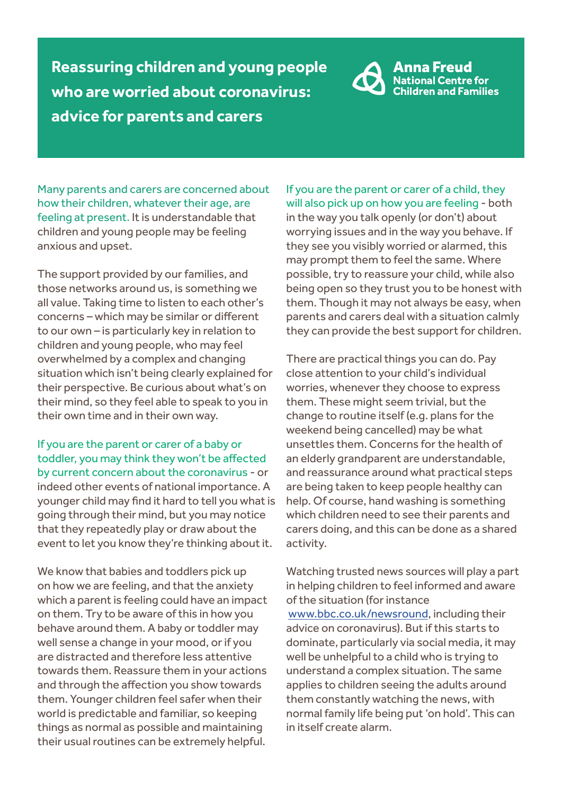**Reassuring children and young people who are worried about coronavirus: advice for parents and carers**



Many parents and carers are concerned about how their children, whatever their age, are feeling at present. It is understandable that children and young people may be feeling anxious and upset.

The support provided by our families, and those networks around us, is something we all value. Taking time to listen to each other's concerns – which may be similar or different to our own – is particularly key in relation to children and young people, who may feel overwhelmed by a complex and changing situation which isn't being clearly explained for their perspective. Be curious about what's on their mind, so they feel able to speak to you in their own time and in their own way.

If you are the parent or carer of a baby or toddler, you may think they won't be affected by current concern about the coronavirus - or indeed other events of national importance. A younger child may find it hard to tell you what is going through their mind, but you may notice that they repeatedly play or draw about the event to let you know they're thinking about it.

We know that babies and toddlers pick up on how we are feeling, and that the anxiety which a parent is feeling could have an impact on them. Try to be aware of this in how you behave around them. A baby or toddler may well sense a change in your mood, or if you are distracted and therefore less attentive towards them. Reassure them in your actions and through the affection you show towards them. Younger children feel safer when their world is predictable and familiar, so keeping things as normal as possible and maintaining their usual routines can be extremely helpful.

If you are the parent or carer of a child, they will also pick up on how you are feeling - both in the way you talk openly (or don't) about worrying issues and in the way you behave. If they see you visibly worried or alarmed, this may prompt them to feel the same. Where possible, try to reassure your child, while also being open so they trust you to be honest with them. Though it may not always be easy, when parents and carers deal with a situation calmly they can provide the best support for children.

There are practical things you can do. Pay close attention to your child's individual worries, whenever they choose to express them. These might seem trivial, but the change to routine itself (e.g. plans for the weekend being cancelled) may be what unsettles them. Concerns for the health of an elderly grandparent are understandable, and reassurance around what practical steps are being taken to keep people healthy can help. Of course, hand washing is something which children need to see their parents and carers doing, and this can be done as a shared activity.

Watching trusted news sources will play a part in helping children to feel informed and aware of the situation (for instance www.bbc.co.uk/newsround, including their advice on coronavirus). But if this starts to dominate, particularly via social media, it may well be unhelpful to a child who is trying to understand a complex situation. The same applies to children seeing the adults around them constantly watching the news, with normal family life being put 'on hold'. This can in itself create alarm.